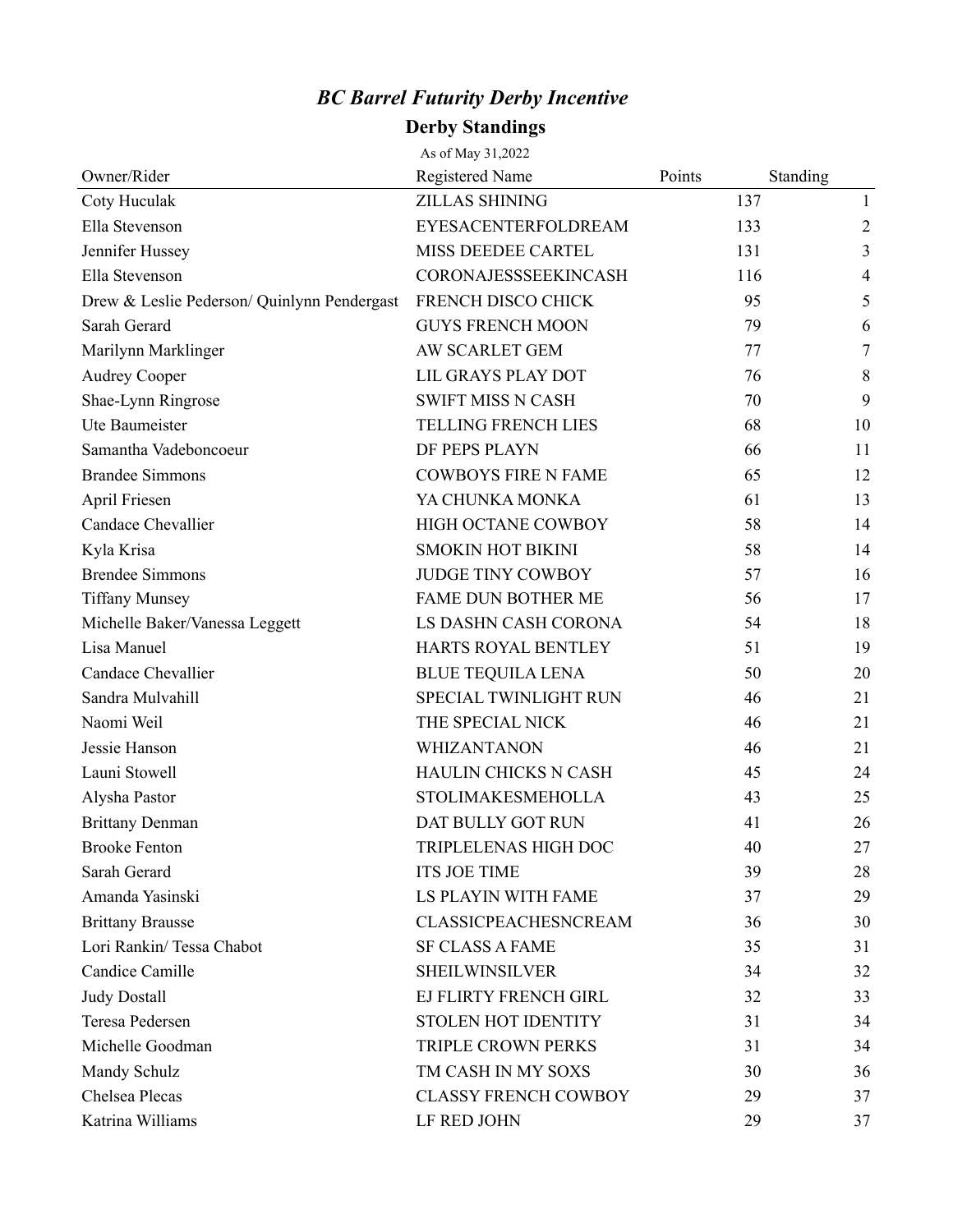## *BC Barrel Futurity Derby Incentive*

## **Derby Standings**

|                                             | As of May 31,2022           |        |          |                |
|---------------------------------------------|-----------------------------|--------|----------|----------------|
| Owner/Rider                                 | Registered Name             | Points | Standing |                |
| Coty Huculak                                | <b>ZILLAS SHINING</b>       |        | 137      | $\mathbf{1}$   |
| Ella Stevenson                              | EYESACENTERFOLDREAM         |        | 133      | $\overline{2}$ |
| Jennifer Hussey                             | MISS DEEDEE CARTEL          |        | 131      | 3              |
| Ella Stevenson                              | CORONAJESSSEEKINCASH        |        | 116      | $\overline{4}$ |
| Drew & Leslie Pederson/ Quinlynn Pendergast | FRENCH DISCO CHICK          |        | 95       | 5              |
| Sarah Gerard                                | <b>GUYS FRENCH MOON</b>     |        | 79       | 6              |
| Marilynn Marklinger                         | AW SCARLET GEM              |        | 77       | 7              |
| <b>Audrey Cooper</b>                        | LIL GRAYS PLAY DOT          |        | 76       | 8              |
| Shae-Lynn Ringrose                          | <b>SWIFT MISS N CASH</b>    |        | 70       | 9              |
| Ute Baumeister                              | <b>TELLING FRENCH LIES</b>  |        | 68       | 10             |
| Samantha Vadeboncoeur                       | DF PEPS PLAYN               |        | 66       | 11             |
| <b>Brandee Simmons</b>                      | <b>COWBOYS FIRE N FAME</b>  |        | 65       | 12             |
| April Friesen                               | YA CHUNKA MONKA             |        | 61       | 13             |
| Candace Chevallier                          | HIGH OCTANE COWBOY          |        | 58       | 14             |
| Kyla Krisa                                  | <b>SMOKIN HOT BIKINI</b>    |        | 58       | 14             |
| <b>Brendee Simmons</b>                      | <b>JUDGE TINY COWBOY</b>    |        | 57       | 16             |
| <b>Tiffany Munsey</b>                       | <b>FAME DUN BOTHER ME</b>   |        | 56       | 17             |
| Michelle Baker/Vanessa Leggett              | LS DASHN CASH CORONA        |        | 54       | 18             |
| Lisa Manuel                                 | HARTS ROYAL BENTLEY         |        | 51       | 19             |
| Candace Chevallier                          | BLUE TEQUILA LENA           |        | 50       | 20             |
| Sandra Mulvahill                            | SPECIAL TWINLIGHT RUN       |        | 46       | 21             |
| Naomi Weil                                  | THE SPECIAL NICK            |        | 46       | 21             |
| Jessie Hanson                               | <b>WHIZANTANON</b>          |        | 46       | 21             |
| Launi Stowell                               | HAULIN CHICKS N CASH        |        | 45       | 24             |
| Alysha Pastor                               | <b>STOLIMAKESMEHOLLA</b>    |        | 43       | 25             |
| <b>Brittany Denman</b>                      | DAT BULLY GOT RUN           |        | 41       | 26             |
| <b>Brooke Fenton</b>                        | TRIPLELENAS HIGH DOC        |        | 40       | 27             |
| Sarah Gerard                                | <b>ITS JOE TIME</b>         |        | 39       | 28             |
| Amanda Yasinski                             | LS PLAYIN WITH FAME         |        | 37       | 29             |
| <b>Brittany Brausse</b>                     | <b>CLASSICPEACHESNCREAM</b> |        | 36       | 30             |
| Lori Rankin/ Tessa Chabot                   | <b>SF CLASS A FAME</b>      |        | 35       | 31             |
| Candice Camille                             | <b>SHEILWINSILVER</b>       |        | 34       | 32             |
| <b>Judy Dostall</b>                         | EJ FLIRTY FRENCH GIRL       |        | 32       | 33             |
| Teresa Pedersen                             | <b>STOLEN HOT IDENTITY</b>  |        | 31       | 34             |
| Michelle Goodman                            | <b>TRIPLE CROWN PERKS</b>   |        | 31       | 34             |
| Mandy Schulz                                | TM CASH IN MY SOXS          |        | 30       | 36             |
| Chelsea Plecas                              | <b>CLASSY FRENCH COWBOY</b> |        | 29       | 37             |
| Katrina Williams                            | LF RED JOHN                 |        | 29       | 37             |